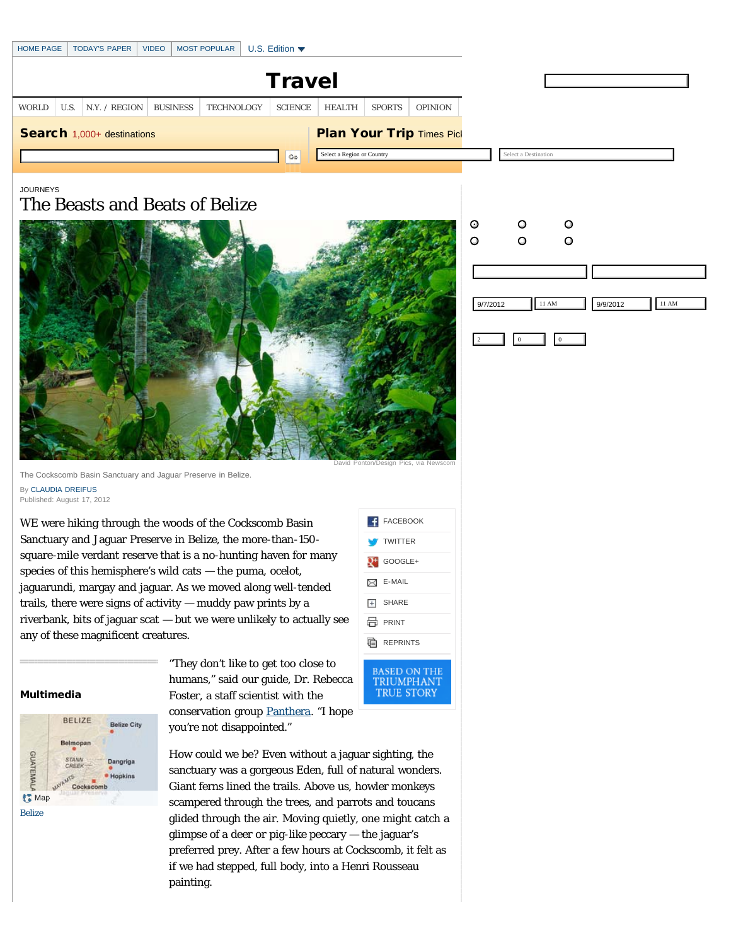|    | <b>HOME PAGE</b> |      | <b>TODAY'S PAPER</b>           | <b>VIDEO</b> |  | <b>MOST POPULAR</b> |  | U.S. Edition $\blacktriangledown$ |               |               |                                  |  |
|----|------------------|------|--------------------------------|--------------|--|---------------------|--|-----------------------------------|---------------|---------------|----------------------------------|--|
|    | <b>Travel</b>    |      |                                |              |  |                     |  |                                   |               |               |                                  |  |
|    | <b>WORLD</b>     | U.S. | N.Y. / REGION   BUSINESS       |              |  | <b>TECHNOLOGY</b>   |  | <b>SCIENCE</b>                    | <b>HEALTH</b> | <b>SPORTS</b> | <b>OPINION</b>                   |  |
|    |                  |      | Search 1,000+ destinations     |              |  |                     |  |                                   |               |               | <b>Plan Your Trip Times Pick</b> |  |
| Go |                  |      |                                |              |  |                     |  | Select a Region or Country        |               |               |                                  |  |
|    | <b>JOURNEYS</b>  |      | The Beasts and Beats of Belize |              |  |                     |  |                                   |               |               |                                  |  |

The Cockscomb Basin Sanctuary and Jaguar Preserve in Belize. By [CLAUDIA DREIFUS](http://topics.nytimes.com/top/reference/timestopics/people/d/claudia_dreifus/index.html) Published: August 17, 2012

WE were hiking through the woods of the Cockscomb Basin Sanctuary and Jaguar Preserve in Belize, the more-than-150 square-mile verdant reserve that is a no-hunting haven for many species of this hemisphere's wild cats — the puma, ocelot, jaguarundi, margay and jaguar. As we moved along well-tended trails, there were signs of activity — muddy paw prints by a riverbank, bits of jaguar scat — but we were unlikely to actually see any of these magnificent creatures.



**TRUE STORY** 

David Ponton/Design Pics, via Newsco

## Multimedia



"They don't like to get too close to humans," said our guide, Dr. Rebecca Foster, a staff scientist with the conservation group [Panthera](http://www.panthera.org/programs/jaguar/jaguar-corridor-initiative). "I hope you're not disappointed."

How could we be? Even without a jaguar sighting, the sanctuary was a gorgeous Eden, full of natural wonders. Giant ferns lined the trails. Above us, howler monkeys scampered through the trees, and parrots and toucans glided through the air. Moving quietly, one might catch a glimpse of a deer or pig-like peccary — the jaguar's preferred prey. After a few hours at Cockscomb, it felt as if we had stepped, full body, into a Henri Rousseau painting.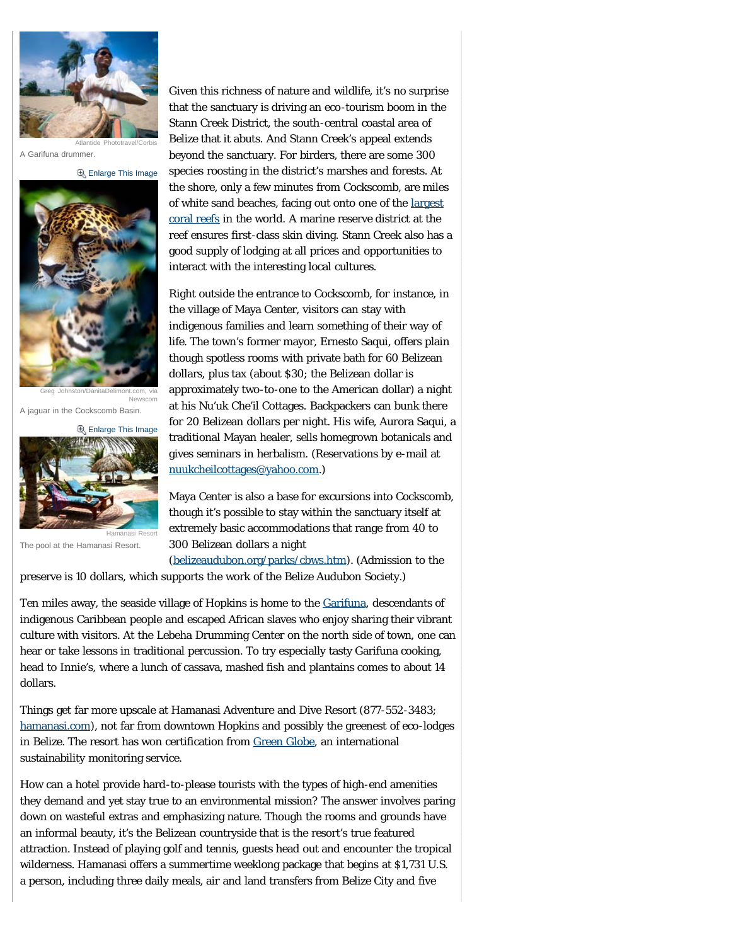

Atlantide Phototravel/Corbis A Garifuna drummer.

**[Enlarge This Image](javascript:pop_me_up2()** 



Greg Johnston/DanitaDelimont.com, via Newscom

A jaguar in the Cockscomb Basin.

**B** [Enlarge This Image](javascript:pop_me_up2()

Hamanasi Resort



The pool at the Hamanasi Resort.

Given this richness of nature and wildlife, it's no surprise that the sanctuary is driving an eco-tourism boom in the Stann Creek District, the south-central coastal area of Belize that it abuts. And Stann Creek's appeal extends beyond the sanctuary. For birders, there are some 300 species roosting in the district's marshes and forests. At the shore, only a few minutes from Cockscomb, are miles of white sand beaches, facing out onto one of the [largest](http://traveltips.usatoday.com/top-ten-largest-coral-reefs-100603.html) [coral reefs](http://traveltips.usatoday.com/top-ten-largest-coral-reefs-100603.html) in the world. A marine reserve district at the reef ensures first-class skin diving. Stann Creek also has a good supply of lodging at all prices and opportunities to interact with the interesting local cultures.

Right outside the entrance to Cockscomb, for instance, in the village of Maya Center, visitors can stay with indigenous families and learn something of their way of life. The town's former mayor, Ernesto Saqui, offers plain though spotless rooms with private bath for 60 Belizean dollars, plus tax (about \$30; the Belizean dollar is approximately two-to-one to the American dollar) a night at his Nu'uk Che'il Cottages. Backpackers can bunk there for 20 Belizean dollars per night. His wife, Aurora Saqui, a traditional Mayan healer, sells homegrown botanicals and gives seminars in herbalism. (Reservations by e-mail at [nuukcheilcottages@yahoo.com.](mailto:nuukcheilcottages@yahoo.com))

Maya Center is also a base for excursions into Cockscomb, though it's possible to stay within the sanctuary itself at extremely basic accommodations that range from 40 to 300 Belizean dollars a night

([belizeaudubon.org/parks/cbws.htm\)](http://belizeaudubon.org/parks/cbws.htm). (Admission to the preserve is 10 dollars, which supports the work of the Belize Audubon Society.)

Ten miles away, the seaside village of Hopkins is home to the [Garifuna,](http://en.wikipedia.org/wiki/Garifuna_people) descendants of indigenous Caribbean people and escaped African slaves who enjoy sharing their vibrant culture with visitors. At the Lebeha Drumming Center on the north side of town, one can hear or take lessons in traditional percussion. To try especially tasty Garifuna cooking, head to Innie's, where a lunch of cassava, mashed fish and plantains comes to about 14 dollars.

Things get far more upscale at Hamanasi Adventure and Dive Resort (877-552-3483; [hamanasi.com\)](http://hamanasi.com/), not far from downtown Hopkins and possibly the greenest of eco-lodges in Belize. The resort has won certification from [Green Globe](http://greenglobe.com/), an international sustainability monitoring service.

How can a hotel provide hard-to-please tourists with the types of high-end amenities they demand and yet stay true to an environmental mission? The answer involves paring down on wasteful extras and emphasizing nature. Though the rooms and grounds have an informal beauty, it's the Belizean countryside that is the resort's true featured attraction. Instead of playing golf and tennis, guests head out and encounter the tropical wilderness. Hamanasi offers a summertime weeklong package that begins at \$1,731 U.S. a person, including three daily meals, air and land transfers from Belize City and five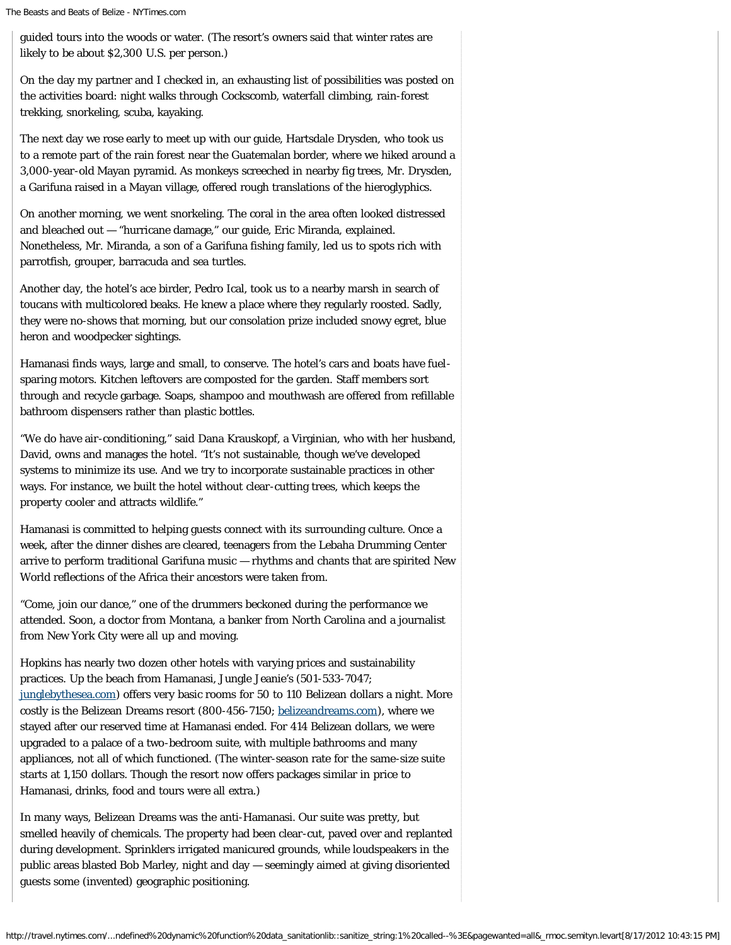guided tours into the woods or water. (The resort's owners said that winter rates are likely to be about \$2,300 U.S. per person.)

On the day my partner and I checked in, an exhausting list of possibilities was posted on the activities board: night walks through Cockscomb, waterfall climbing, rain-forest trekking, snorkeling, scuba, kayaking.

The next day we rose early to meet up with our guide, Hartsdale Drysden, who took us to a remote part of the rain forest near the Guatemalan border, where we hiked around a 3,000-year-old Mayan pyramid. As monkeys screeched in nearby fig trees, Mr. Drysden, a Garifuna raised in a Mayan village, offered rough translations of the hieroglyphics.

On another morning, we went snorkeling. The coral in the area often looked distressed and bleached out — "hurricane damage," our guide, Eric Miranda, explained. Nonetheless, Mr. Miranda, a son of a Garifuna fishing family, led us to spots rich with parrotfish, grouper, barracuda and sea turtles.

Another day, the hotel's ace birder, Pedro Ical, took us to a nearby marsh in search of toucans with multicolored beaks. He knew a place where they regularly roosted. Sadly, they were no-shows that morning, but our consolation prize included snowy egret, blue heron and woodpecker sightings.

Hamanasi finds ways, large and small, to conserve. The hotel's cars and boats have fuelsparing motors. Kitchen leftovers are composted for the garden. Staff members sort through and recycle garbage. Soaps, shampoo and mouthwash are offered from refillable bathroom dispensers rather than plastic bottles.

"We do have air-conditioning," said Dana Krauskopf, a Virginian, who with her husband, David, owns and manages the hotel. "It's not sustainable, though we've developed systems to minimize its use. And we try to incorporate sustainable practices in other ways. For instance, we built the hotel without clear-cutting trees, which keeps the property cooler and attracts wildlife."

Hamanasi is committed to helping guests connect with its surrounding culture. Once a week, after the dinner dishes are cleared, teenagers from the Lebaha Drumming Center arrive to perform traditional Garifuna music — rhythms and chants that are spirited New World reflections of the Africa their ancestors were taken from.

"Come, join our dance," one of the drummers beckoned during the performance we attended. Soon, a doctor from Montana, a banker from North Carolina and a journalist from New York City were all up and moving.

Hopkins has nearly two dozen other hotels with varying prices and sustainability practices. Up the beach from Hamanasi, Jungle Jeanie's (501-533-7047; [junglebythesea.com\)](http://junglebythesea.com/) offers very basic rooms for 50 to 110 Belizean dollars a night. More costly is the Belizean Dreams resort (800-456-7150; [belizeandreams.com\)](http://belizeandreams.com/), where we stayed after our reserved time at Hamanasi ended. For 414 Belizean dollars, we were upgraded to a palace of a two-bedroom suite, with multiple bathrooms and many appliances, not all of which functioned. (The winter-season rate for the same-size suite starts at 1,150 dollars. Though the resort now offers packages similar in price to Hamanasi, drinks, food and tours were all extra.)

In many ways, Belizean Dreams was the anti-Hamanasi. Our suite was pretty, but smelled heavily of chemicals. The property had been clear-cut, paved over and replanted during development. Sprinklers irrigated manicured grounds, while loudspeakers in the public areas blasted Bob Marley, night and day — seemingly aimed at giving disoriented guests some (invented) geographic positioning.